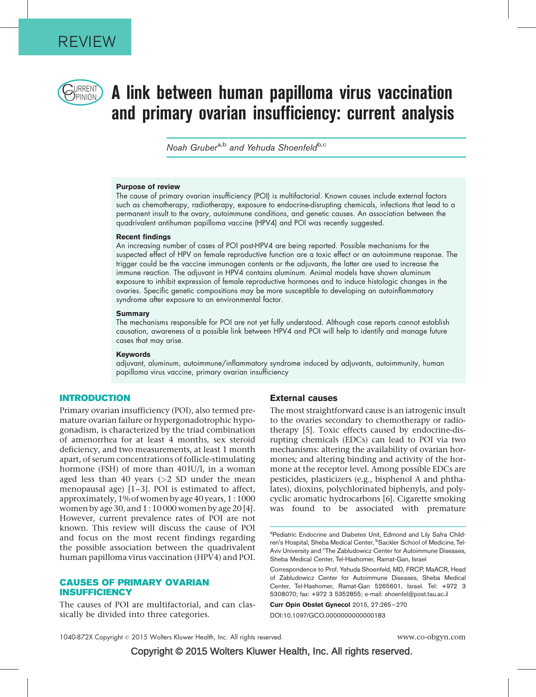

# $\bigcup_{PINION}$  A link between human papilloma virus vaccination and primary ovarian insufficiency: current analysis

Noah Gruber<sup>a,b</sup> and Yehuda Shoenfeld<sup>b,c</sup>

#### Purpose of review

The cause of primary ovarian insufficiency (POI) is multifactorial. Known causes include external factors such as chemotherapy, radiotherapy, exposure to endocrine-disrupting chemicals, infections that lead to a permanent insult to the ovary, autoimmune conditions, and genetic causes. An association between the quadrivalent antihuman papilloma vaccine (HPV4) and POI was recently suggested.

#### Recent findings

An increasing number of cases of POI post-HPV4 are being reported. Possible mechanisms for the suspected effect of HPV on female reproductive function are a toxic effect or an autoimmune response. The trigger could be the vaccine immunogen contents or the adjuvants, the latter are used to increase the immune reaction. The adjuvant in HPV4 contains aluminum. Animal models have shown aluminum exposure to inhibit expression of female reproductive hormones and to induce histologic changes in the ovaries. Specific genetic compositions may be more susceptible to developing an autoinflammatory syndrome after exposure to an environmental factor.

#### **Summary**

The mechanisms responsible for POI are not yet fully understood. Although case reports cannot establish causation, awareness of a possible link between HPV4 and POI will help to identify and manage future cases that may arise.

#### Keywords

adjuvant, aluminum, autoimmune/inflammatory syndrome induced by adjuvants, autoimmunity, human papilloma virus vaccine, primary ovarian insufficiency

## INTRODUCTION

Primary ovarian insufficiency (POI), also termed premature ovarian failure or hypergonadotrophic hypogonadism, is characterized by the triad combination of amenorrhea for at least 4 months, sex steroid deficiency, and two measurements, at least 1 month apart, of serum concentrations of follicle-stimulating hormone (FSH) of more than 40 IU/l, in a woman aged less than 40 years  $(>= 2$  SD under the mean menopausal age) [\[1–3\].](#page-4-0) POI is estimated to affect, approximately, 1% of women by age 40 years, 1 : 1000 women by age 30, and 1 : 10 000 women by age 20 [\[4\]](#page-4-0). However, current prevalence rates of POI are not known. This review will discuss the cause of POI and focus on the most recent findings regarding the possible association between the quadrivalent human papilloma virus vaccination (HPV4) and POI.

## CAUSES OF PRIMARY OVARIAN **INSUFFICIENCY**

The causes of POI are multifactorial, and can classically be divided into three categories.

## External causes

The most straightforward cause is an iatrogenic insult to the ovaries secondary to chemotherapy or radiotherapy [\[5\].](#page-5-0) Toxic effects caused by endocrine-disrupting chemicals (EDCs) can lead to POI via two mechanisms: altering the availability of ovarian hormones; and altering binding and activity of the hormone at the receptor level. Among possible EDCs are pesticides, plasticizers (e.g., bisphenol A and phthalates), dioxins, polychlorinated biphenyls, and polycyclic aromatic hydrocarbons [\[6\].](#page-5-0) Cigarette smoking was found to be associated with premature

Curr Opin Obstet Gynecol 2015, 27:265–270 DOI:10.1097/GCO.0000000000000183

<sup>&</sup>lt;sup>a</sup>Pediatric Endocrine and Diabetes Unit, Edmond and Lily Safra Children's Hospital, Sheba Medical Center, <sup>b</sup>Sackler School of Medicine, Tel-Aviv University and <sup>c</sup>The Zabludowicz Center for Autoimmune Diseases, Sheba Medical Center, Tel-Hashomer, Ramat-Gan, Israel

Correspondence to Prof. Yehuda Shoenfeld, MD, FRCP, MaACR, Head of Zabludowicz Center for Autoimmune Diseases, Sheba Medical Center, Tel-Hashomer, Ramat-Gan 5265601, Israel. Tel: +972 3 5308070; fax: +972 3 5352855; e-mail: [shoenfel@post.tau.ac.il](mailto:shoenfel@post.tau.ac.il)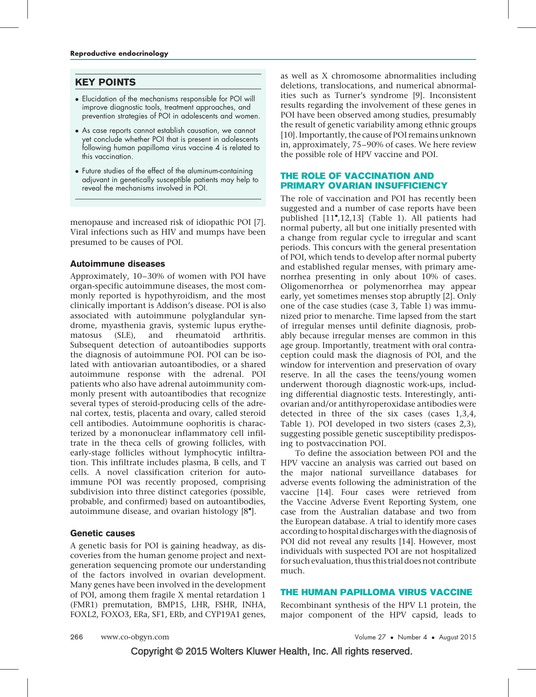## KEY POINTS

- Elucidation of the mechanisms responsible for POI will improve diagnostic tools, treatment approaches, and prevention strategies of POI in adolescents and women.
- As case reports cannot establish causation, we cannot yet conclude whether POI that is present in adolescents following human papilloma virus vaccine 4 is related to this vaccination.
- Future studies of the effect of the aluminum-containing adjuvant in genetically susceptible patients may help to reveal the mechanisms involved in POI.

menopause and increased risk of idiopathic POI [\[7\].](#page-5-0) Viral infections such as HIV and mumps have been presumed to be causes of POI.

## Autoimmune diseases

Approximately, 10–30% of women with POI have organ-specific autoimmune diseases, the most commonly reported is hypothyroidism, and the most clinically important is Addison's disease. POI is also associated with autoimmune polyglandular syndrome, myasthenia gravis, systemic lupus erythematosus (SLE), and rheumatoid arthritis. Subsequent detection of autoantibodies supports the diagnosis of autoimmune POI. POI can be isolated with antiovarian autoantibodies, or a shared autoimmune response with the adrenal. POI patients who also have adrenal autoimmunity commonly present with autoantibodies that recognize several types of steroid-producing cells of the adrenal cortex, testis, placenta and ovary, called steroid cell antibodies. Autoimmune oophoritis is characterized by a mononuclear inflammatory cell infiltrate in the theca cells of growing follicles, with early-stage follicles without lymphocytic infiltration. This infiltrate includes plasma, B cells, and T cells. A novel classification criterion for autoimmune POI was recently proposed, comprising subdivision into three distinct categories (possible, probable, and confirmed) based on autoantibodies, autoimmune disease, and ovarian histology  $[8$ <sup>"</sup>[\]](#page-5-0).

## Genetic causes

A genetic basis for POI is gaining headway, as discoveries from the human genome project and nextgeneration sequencing promote our understanding of the factors involved in ovarian development. Many genes have been involved in the development of POI, among them fragile X mental retardation 1 (FMR1) premutation, BMP15, LHR, FSHR, INHA, FOXL2, FOXO3, ERa, SF1, ERb, and CYP19A1 genes,

as well as X chromosome abnormalities including deletions, translocations, and numerical abnormalities such as Turner's syndrome [\[9\]](#page-5-0). Inconsistent results regarding the involvement of these genes in POI have been observed among studies, presumably the result of genetic variability among ethnic groups [\[10\].](#page-5-0) Importantly, the cause of POI remains unknown in, approximately, 75–90% of cases. We here review the possible role of HPV vaccine and POI.

## THE ROLE OF VACCINATION AND PRIMARY OVARIAN INSUFFICIENCY

The role of vaccination and POI has recently been suggested and a number of case reports have been published [\[11](#page-5-0)"[,12,13\]](#page-5-0) (Table 1). All patients had normal puberty, all but one initially presented with a change from regular cycle to irregular and scant periods. This concurs with the general presentation of POI, which tends to develop after normal puberty and established regular menses, with primary amenorrhea presenting in only about 10% of cases. Oligomenorrhea or polymenorrhea may appear early, yet sometimes menses stop abruptly [\[2\]](#page-4-0). Only one of the case studies (case 3, Table 1) was immunized prior to menarche. Time lapsed from the start of irregular menses until definite diagnosis, probably because irregular menses are common in this age group. Importantly, treatment with oral contraception could mask the diagnosis of POI, and the window for intervention and preservation of ovary reserve. In all the cases the teens/young women underwent thorough diagnostic work-ups, including differential diagnostic tests. Interestingly, antiovarian and/or antithyroperoxidase antibodies were detected in three of the six cases (cases 1,3,4, Table 1). POI developed in two sisters (cases 2,3), suggesting possible genetic susceptibility predisposing to postvaccination POI.

To define the association between POI and the HPV vaccine an analysis was carried out based on the major national surveillance databases for adverse events following the administration of the vaccine [\[14\].](#page-5-0) Four cases were retrieved from the Vaccine Adverse Event Reporting System, one case from the Australian database and two from the European database. A trial to identify more cases according to hospital discharges with the diagnosis of POI did not reveal any results [\[14\]](#page-5-0). However, most individuals with suspected POI are not hospitalized for such evaluation, thus this trial does not contribute much.

## THE HUMAN PAPILLOMA VIRUS VACCINE

Recombinant synthesis of the HPV L1 protein, the major component of the HPV capsid, leads to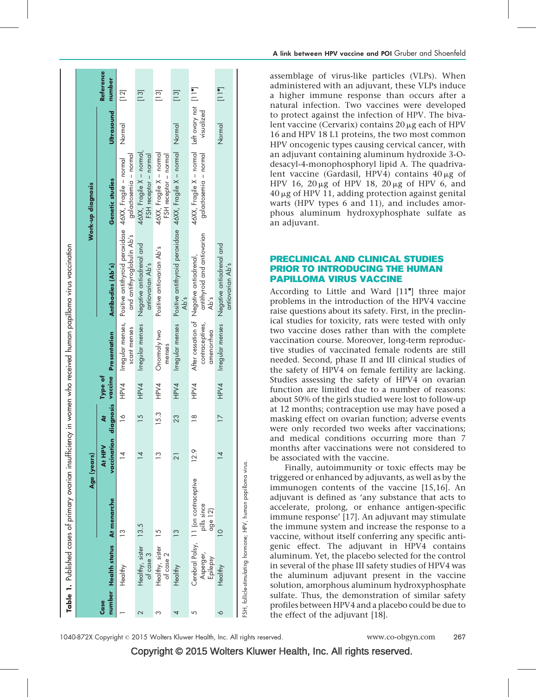|      |                                  |                                                                |                       |                |         |                                | Table 1. Published cases of primary ovarian insufficiency in women who received human papilloma virus vaccination |                                                                                  |                                          |
|------|----------------------------------|----------------------------------------------------------------|-----------------------|----------------|---------|--------------------------------|-------------------------------------------------------------------------------------------------------------------|----------------------------------------------------------------------------------|------------------------------------------|
|      |                                  |                                                                |                       |                |         |                                |                                                                                                                   |                                                                                  |                                          |
|      |                                  |                                                                | Age (years)           |                |         |                                |                                                                                                                   | Work-up diagnosis                                                                |                                          |
| Case | number Health status At menarche |                                                                | vaccination<br>At HPV | ä              | Type of | diagnosis vaccine Presentation | Antibodies (Ab's)                                                                                                 | Genetic studies                                                                  | <b>Reference</b><br>number<br>Ultrasound |
|      | Healthy                          | $\frac{1}{2}$                                                  | $\overline{4}$        | $\frac{8}{1}$  | HPV4    | scant menses                   | Irregular menses, Positive antithyroid peroxidase 46XX, Fragile - normal<br>and antithyroglobulin Ab's            | Normal<br>galactosemia - normal                                                  | $\begin{bmatrix} 1 & 2 \end{bmatrix}$    |
| 2    | Healthy, sister<br>of case 3     | 13.5                                                           | $\overline{4}$        | $\frac{5}{1}$  | HPV4    | Irregular menses               | Negative antiadrenal and<br>antiovarian Ab's                                                                      | 46XX, Fragile X – normal,<br>FSH receptor - normal                               | $\begin{bmatrix} 1 & 3 \end{bmatrix}$    |
| ო    | Healthy, sister<br>of case 2     | $\overline{5}$                                                 | $\frac{3}{2}$         | 15.3           | HPV4    | Onormaly two<br>menses         | Positive antiovarian Ab's                                                                                         | 46XX, Fragile X - normal<br>FSH receptor - normal                                | $\begin{bmatrix} 3 \end{bmatrix}$        |
| 4    | Healthy                          | $\frac{3}{2}$                                                  | 21                    | 23             | HPV4    |                                | Ab's                                                                                                              | Irregular menses Positive antithyroid peroxidase 46XX, Fragile X - normal Normal | $\begin{bmatrix} 1 & 3 \end{bmatrix}$    |
| 5    | Asperger,<br>Epilepsy            | Cerebral Palsy, 11 (on contraceptive<br>pills since<br>age 12) | 12.9                  | $\frac{8}{1}$  | HPV4    | contraceptives,<br>amenorrhea  | antithyroid and antiovarian<br>After cessation of Negative antiadrenal,<br>Ab's                                   | 46XX, Fragile X – normal Left ovary not [11"]<br>galactosemia - normal           | visualized                               |
| ∘    | Healthy                          | $\supseteq$                                                    | $\overline{4}$        | $\overline{1}$ | HPV4    | Irregular menses               | Negative antiadrenal and<br>antiovarian Ab's                                                                      | Normal                                                                           | $\Xi$                                    |
|      |                                  | FSH, follicle-stimulating hormone; HPV, human papilloma virus. |                       |                |         |                                |                                                                                                                   |                                                                                  |                                          |

assemblage of virus-like particles (VLPs). When administered with an adjuvant, these VLPs induce a higher immune response than occurs after a natural infection. Two vaccines were developed to protect against the infection of HPV. The bivalent vaccine (Cervarix) contains  $20 \mu$ g each of HPV 16 and HPV 18 L1 proteins, the two most common HPV oncogenic types causing cervical cancer, with an adjuvant containing aluminum hydroxide 3-Odesacyl-4-monophosphoryl lipid A. The quadrivalent vaccine (Gardasil, HPV4) contains  $40 \mu$ g of HPV 16,  $20 \mu g$  of HPV 18,  $20 \mu g$  of HPV 6, and  $40 \mu$ g of HPV 11, adding protection against genital warts (HPV types 6 and 11), and includes amorphous aluminum hydroxyphosphate sulfate as an adjuvant.

## PRECLINICAL AND CLINICAL STUDIES PRIOR TO INTRODUCING THE HUMAN PAPILLOMA VIRUS VACCINE

According to Little and Ward [\[11](#page-5-0)"[\]](#page-5-0) three major problems in the introduction of the HPV4 vaccine raise questions about its safety. First, in the preclinical studies for toxicity, rats were tested with only two vaccine doses rather than with the complete vaccination course. Moreover, long-term reproductive studies of vaccinated female rodents are still needed. Second, phase II and III clinical studies of the safety of HPV4 on female fertility are lacking. Studies assessing the safety of HPV4 on ovarian function are limited due to a number of reasons: about 50% of the girls studied were lost to follow-up at 12 months; contraception use may have posed a masking effect on ovarian function; adverse events were only recorded two weeks after vaccinations; and medical conditions occurring more than 7 months after vaccinations were not considered to be associated with the vaccine.

Finally, autoimmunity or toxic effects may be triggered or enhanced by adjuvants, as well as by the immunogen contents of the vaccine [\[15,16\]](#page-5-0). An adjuvant is defined as 'any substance that acts to accelerate, prolong, or enhance antigen-specific immune response' [\[17\].](#page-5-0) An adjuvant may stimulate the immune system and increase the response to a vaccine, without itself conferring any specific antigenic effect. The adjuvant in HPV4 contains aluminum. Yet, the placebo selected for the control in several of the phase III safety studies of HPV4 was the aluminum adjuvant present in the vaccine solution, amorphous aluminum hydroxyphosphate sulfate. Thus, the demonstration of similar safety profiles between HPV4 and a placebo could be due to the effect of the adjuvant [\[18\]](#page-5-0).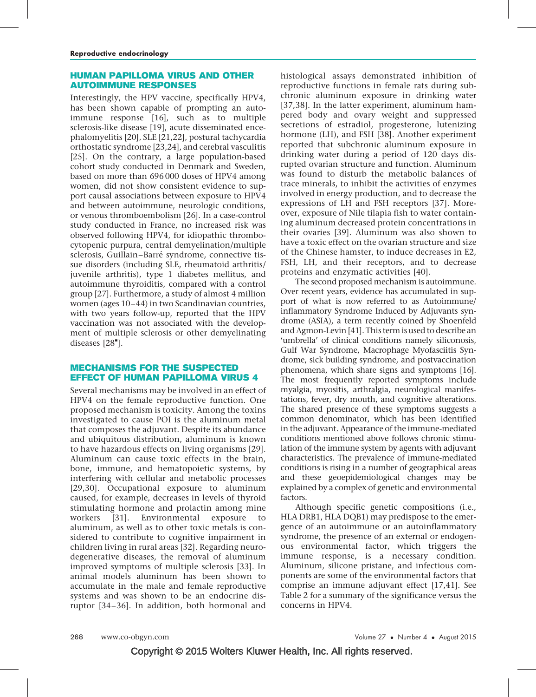## HUMAN PAPILLOMA VIRUS AND OTHER AUTOIMMUNE RESPONSES

Interestingly, the HPV vaccine, specifically HPV4, has been shown capable of prompting an autoimmune response [\[16\]](#page-5-0), such as to multiple sclerosis-like disease [\[19\]](#page-5-0), acute disseminated encephalomyelitis [\[20\],](#page-5-0) SLE [\[21,22\],](#page-5-0) postural tachycardia orthostatic syndrome [\[23,24\]](#page-5-0), and cerebral vasculitis [\[25\].](#page-5-0) On the contrary, a large population-based cohort study conducted in Denmark and Sweden, based on more than 696 000 doses of HPV4 among women, did not show consistent evidence to support causal associations between exposure to HPV4 and between autoimmune, neurologic conditions, or venous thromboembolism [\[26\]](#page-5-0). In a case-control study conducted in France, no increased risk was observed following HPV4, for idiopathic thrombocytopenic purpura, central demyelination/multiple sclerosis, Guillain–Barré syndrome, connective tissue disorders (including SLE, rheumatoid arthritis/ juvenile arthritis), type 1 diabetes mellitus, and autoimmune thyroiditis, compared with a control group [\[27\]](#page-5-0). Furthermore, a study of almost 4 million women (ages 10–44) in two Scandinavian countries, with two years follow-up, reported that the HPV vaccination was not associated with the development of multiple sclerosis or other demyelinating diseases [\[28](#page-5-0)"[\]](#page-5-0).

## MECHANISMS FOR THE SUSPECTED EFFECT OF HUMAN PAPILLOMA VIRUS 4

Several mechanisms may be involved in an effect of HPV4 on the female reproductive function. One proposed mechanism is toxicity. Among the toxins investigated to cause POI is the aluminum metal that composes the adjuvant. Despite its abundance and ubiquitous distribution, aluminum is known to have hazardous effects on living organisms [\[29\].](#page-5-0) Aluminum can cause toxic effects in the brain, bone, immune, and hematopoietic systems, by interfering with cellular and metabolic processes [\[29,30\].](#page-5-0) Occupational exposure to aluminum caused, for example, decreases in levels of thyroid stimulating hormone and prolactin among mine workers [\[31\]](#page-5-0). Environmental exposure to aluminum, as well as to other toxic metals is considered to contribute to cognitive impairment in children living in rural areas [\[32\].](#page-5-0) Regarding neurodegenerative diseases, the removal of aluminum improved symptoms of multiple sclerosis [\[33\].](#page-5-0) In animal models aluminum has been shown to accumulate in the male and female reproductive systems and was shown to be an endocrine disruptor [\[34–36\]](#page-5-0). In addition, both hormonal and

histological assays demonstrated inhibition of reproductive functions in female rats during subchronic aluminum exposure in drinking water [\[37,38\].](#page-5-0) In the latter experiment, aluminum hampered body and ovary weight and suppressed secretions of estradiol, progesterone, lutenizing hormone (LH), and FSH [\[38\].](#page-5-0) Another experiment reported that subchronic aluminum exposure in drinking water during a period of 120 days disrupted ovarian structure and function. Aluminum was found to disturb the metabolic balances of trace minerals, to inhibit the activities of enzymes involved in energy production, and to decrease the expressions of LH and FSH receptors [\[37\]](#page-5-0). Moreover, exposure of Nile tilapia fish to water containing aluminum decreased protein concentrations in their ovaries [\[39\].](#page-5-0) Aluminum was also shown to have a toxic effect on the ovarian structure and size of the Chinese hamster, to induce decreases in E2, FSH, LH, and their receptors, and to decrease proteins and enzymatic activities [\[40\]](#page-5-0).

The second proposed mechanism is autoimmune. Over recent years, evidence has accumulated in support of what is now referred to as Autoimmune/ inflammatory Syndrome Induced by Adjuvants syndrome (ASIA), a term recently coined by Shoenfeld and Agmon-Levin [\[41\]](#page-5-0). This term is used to describe an 'umbrella' of clinical conditions namely siliconosis, Gulf War Syndrome, Macrophage Myofasciitis Syndrome, sick building syndrome, and postvaccination phenomena, which share signs and symptoms [\[16\]](#page-5-0). The most frequently reported symptoms include myalgia, myositis, arthralgia, neurological manifestations, fever, dry mouth, and cognitive alterations. The shared presence of these symptoms suggests a common denominator, which has been identified in the adjuvant. Appearance of the immune-mediated conditions mentioned above follows chronic stimulation of the immune system by agents with adjuvant characteristics. The prevalence of immune-mediated conditions is rising in a number of geographical areas and these geoepidemiological changes may be explained by a complex of genetic and environmental factors.

Although specific genetic compositions (i.e., HLA DRB1, HLA DQB1) may predispose to the emergence of an autoimmune or an autoinflammatory syndrome, the presence of an external or endogenous environmental factor, which triggers the immune response, is a necessary condition. Aluminum, silicone pristane, and infectious components are some of the environmental factors that comprise an immune adjuvant effect [\[17,41\]](#page-5-0). See Table 2 for a summary of the significance versus the concerns in HPV4.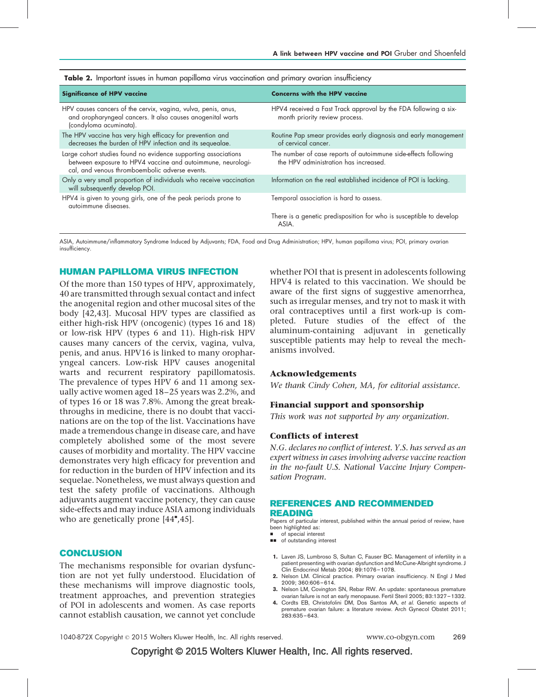| <b>Significance of HPV vaccine</b>                                                                                                                                              | <b>Concerns with the HPV vaccine</b>                                                                     |
|---------------------------------------------------------------------------------------------------------------------------------------------------------------------------------|----------------------------------------------------------------------------------------------------------|
| HPV causes cancers of the cervix, vagina, vulva, penis, anus,<br>and oropharyngeal cancers. It also causes anogenital warts<br>(condyloma acuminata).                           | HPV4 received a Fast Track approval by the FDA following a six-<br>month priority review process.        |
| The HPV vaccine has very high efficacy for prevention and<br>decreases the burden of HPV infection and its sequealae.                                                           | Routine Pap smear provides early diagnosis and early management<br>of cervical cancer.                   |
| Large cohort studies found no evidence supporting associations<br>between exposure to HPV4 vaccine and autoimmune, neurologi-<br>cal, and venous thromboembolic adverse events. | The number of case reports of autoimmune side-effects following<br>the HPV administration has increased. |
| Only a very small proportion of individuals who receive vaccination<br>will subsequently develop POI.                                                                           | Information on the real established incidence of POI is lacking.                                         |
| HPV4 is given to young girls, one of the peak periods prone to<br>autoimmune diseases.                                                                                          | Temporal association is hard to assess.                                                                  |
|                                                                                                                                                                                 | There is a genetic predisposition for who is susceptible to develop<br>ASIA.                             |

<span id="page-4-0"></span>

|  |  |  |  |  | <b>Table 2.</b> Important issues in human papilloma virus vaccination and primary ovarian insufficiency |  |
|--|--|--|--|--|---------------------------------------------------------------------------------------------------------|--|
|  |  |  |  |  |                                                                                                         |  |

ASIA, Autoimmune/inflammatory Syndrome Induced by Adjuvants; FDA, Food and Drug Administration; HPV, human papilloma virus; POI, primary ovarian insufficiency.

#### HUMAN PAPILLOMA VIRUS INFECTION

Of the more than 150 types of HPV, approximately, 40 are transmitted through sexual contact and infect the anogenital region and other mucosal sites of the body [\[42,43\]](#page-5-0). Mucosal HPV types are classified as either high-risk HPV (oncogenic) (types 16 and 18) or low-risk HPV (types 6 and 11). High-risk HPV causes many cancers of the cervix, vagina, vulva, penis, and anus. HPV16 is linked to many oropharyngeal cancers. Low-risk HPV causes anogenital warts and recurrent respiratory papillomatosis. The prevalence of types HPV 6 and 11 among sexually active women aged 18–25 years was 2.2%, and of types 16 or 18 was 7.8%. Among the great breakthroughs in medicine, there is no doubt that vaccinations are on the top of the list. Vaccinations have made a tremendous change in disease care, and have completely abolished some of the most severe causes of morbidity and mortality. The HPV vaccine demonstrates very high efficacy for prevention and for reduction in the burden of HPV infection and its sequelae. Nonetheless, we must always question and test the safety profile of vaccinations. Although adjuvants augment vaccine potency, they can cause side-effects and may induce ASIA among individuals who are genetically prone  $[44", 45]$  $[44", 45]$ .

#### CONCLUSION

The mechanisms responsible for ovarian dysfunction are not yet fully understood. Elucidation of these mechanisms will improve diagnostic tools, treatment approaches, and prevention strategies of POI in adolescents and women. As case reports cannot establish causation, we cannot yet conclude

whether POI that is present in adolescents following HPV4 is related to this vaccination. We should be aware of the first signs of suggestive amenorrhea, such as irregular menses, and try not to mask it with oral contraceptives until a first work-up is completed. Future studies of the effect of the aluminum-containing adjuvant in genetically susceptible patients may help to reveal the mechanisms involved.

#### Acknowledgements

We thank Cindy Cohen, MA, for editorial assistance.

#### Financial support and sponsorship

This work was not supported by any organization.

#### Conflicts of interest

N.G. declares no conflict of interest. Y.S. has served as an expert witness in cases involving adverse vaccine reaction in the no-fault U.S. National Vaccine Injury Compensation Program.

#### REFERENCES AND RECOMMENDED READING

Papers of particular interest, published within the annual period of review, have been highlighted as:

- of special interest
- $\Box$  of outstanding interest
- 1. Laven JS, Lumbroso S, Sultan C, Fauser BC. Management of infertility in a patient presenting with ovarian dysfunction and McCune-Albright syndrome. J Clin Endocrinol Metab 2004; 89:1076–1078.
- 2. Nelson LM. Clinical practice. Primary ovarian insufficiency. N Engl J Med 2009; 360:606–614.
- 3. Nelson LM, Covington SN, Rebar RW. An update: spontaneous premature ovarian failure is not an early menopause. Fertil Steril 2005; 83:1327–1332.
- 4. Cordts EB, Christofolini DM, Dos Santos AA, et al. Genetic aspects of premature ovarian failure: a literature review. Arch Gynecol Obstet 2011; .<br>283:635–643.

1040-872X Copyright © 2015 Wolters Kluwer Health, Inc. All rights reserved. www.co-obgyn.com 269